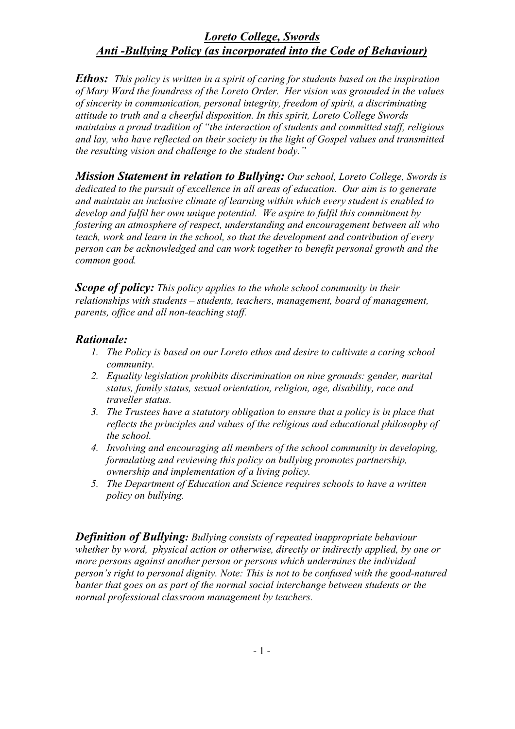*Ethos: This policy is written in a spirit of caring for students based on the inspiration of Mary Ward the foundress of the Loreto Order. Her vision was grounded in the values of sincerity in communication, personal integrity, freedom of spirit, a discriminating attitude to truth and a cheerful disposition. In this spirit, Loreto College Swords maintains a proud tradition of "the interaction of students and committed staff, religious and lay, who have reflected on their society in the light of Gospel values and transmitted the resulting vision and challenge to the student body."*

*Mission Statement in relation to Bullying: Our school, Loreto College, Swords is dedicated to the pursuit of excellence in all areas of education. Our aim is to generate and maintain an inclusive climate of learning within which every student is enabled to develop and fulfil her own unique potential. We aspire to fulfil this commitment by fostering an atmosphere of respect, understanding and encouragement between all who teach, work and learn in the school, so that the development and contribution of every person can be acknowledged and can work together to benefit personal growth and the common good.*

*Scope of policy: This policy applies to the whole school community in their relationships with students – students, teachers, management, board of management, parents, office and all non-teaching staff.*

#### *Rationale:*

- *1. The Policy is based on our Loreto ethos and desire to cultivate a caring school community.*
- *2. Equality legislation prohibits discrimination on nine grounds: gender, marital status, family status, sexual orientation, religion, age, disability, race and traveller status.*
- *3. The Trustees have a statutory obligation to ensure that a policy is in place that reflects the principles and values of the religious and educational philosophy of the school.*
- *4. Involving and encouraging all members of the school community in developing, formulating and reviewing this policy on bullying promotes partnership, ownership and implementation of a living policy.*
- *5. The Department of Education and Science requires schools to have a written policy on bullying.*

*Definition of Bullying: Bullying consists of repeated inappropriate behaviour whether by word, physical action or otherwise, directly or indirectly applied, by one or more persons against another person or persons which undermines the individual person's right to personal dignity. Note: This is not to be confused with the good-natured banter that goes on as part of the normal social interchange between students or the normal professional classroom management by teachers.*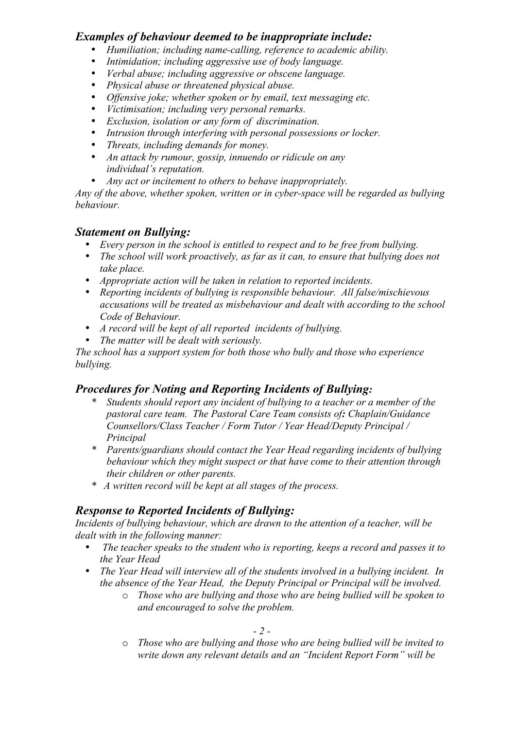### *Examples of behaviour deemed to be inappropriate include:*

- *Humiliation; including name-calling, reference to academic ability.*
- *Intimidation; including aggressive use of body language.*
- *Verbal abuse; including aggressive or obscene language.*
- *Physical abuse or threatened physical abuse.*
- *Offensive joke; whether spoken or by email, text messaging etc.*
- *Victimisation; including very personal remarks.*
- *Exclusion, isolation or any form of discrimination.*
- *Intrusion through interfering with personal possessions or locker.*
- *Threats, including demands for money.*
- *An attack by rumour, gossip, innuendo or ridicule on any individual's reputation.*
- *Any act or incitement to others to behave inappropriately.*

*Any of the above, whether spoken, written or in cyber-space will be regarded as bullying behaviour.*

### *Statement on Bullying:*

- *Every person in the school is entitled to respect and to be free from bullying.*
- *The school will work proactively, as far as it can, to ensure that bullying does not take place.*
- *Appropriate action will be taken in relation to reported incidents.*
- *Reporting incidents of bullying is responsible behaviour. All false/mischievous accusations will be treated as misbehaviour and dealt with according to the school Code of Behaviour.*
- *A record will be kept of all reported incidents of bullying.*
- *The matter will be dealt with seriously.*

*The school has a support system for both those who bully and those who experience bullying.*

# *Procedures for Noting and Reporting Incidents of Bullying:*

- *\* Students should report any incident of bullying to a teacher or a member of the pastoral care team. The Pastoral Care Team consists of: Chaplain/Guidance Counsellors/Class Teacher / Form Tutor / Year Head/Deputy Principal / Principal*
- *\* Parents/guardians should contact the Year Head regarding incidents of bullying behaviour which they might suspect or that have come to their attention through their children or other parents.*
- *\* A written record will be kept at all stages of the process.*

# *Response to Reported Incidents of Bullying:*

*Incidents of bullying behaviour, which are drawn to the attention of a teacher, will be dealt with in the following manner:*

- • *The teacher speaks to the student who is reporting, keeps a record and passes it to the Year Head*
- *The Year Head will interview all of the students involved in a bullying incident. In the absence of the Year Head, the Deputy Principal or Principal will be involved.*
	- o *Those who are bullying and those who are being bullied will be spoken to and encouraged to solve the problem.*

o *Those who are bullying and those who are being bullied will be invited to write down any relevant details and an "Incident Report Form" will be*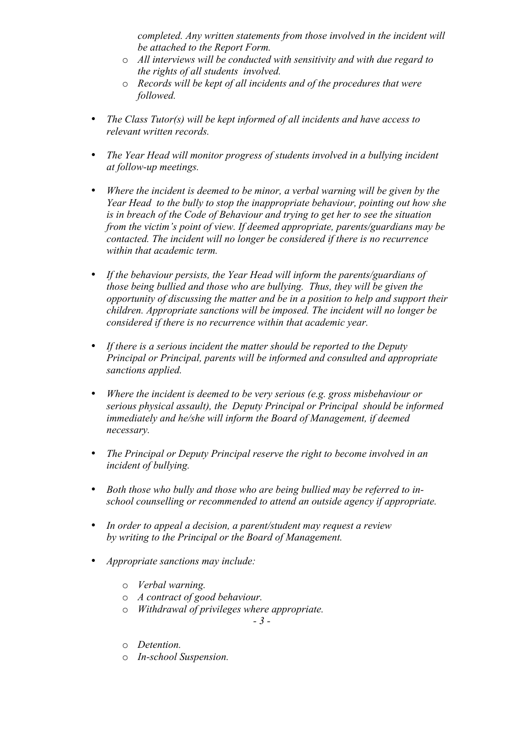*completed. Any written statements from those involved in the incident will be attached to the Report Form.*

- o *All interviews will be conducted with sensitivity and with due regard to the rights of all students involved.*
- o *Records will be kept of all incidents and of the procedures that were followed.*
- *The Class Tutor(s) will be kept informed of all incidents and have access to relevant written records.*
- *The Year Head will monitor progress of students involved in a bullying incident at follow-up meetings.*
- *Where the incident is deemed to be minor, a verbal warning will be given by the Year Head to the bully to stop the inappropriate behaviour, pointing out how she is in breach of the Code of Behaviour and trying to get her to see the situation from the victim's point of view. If deemed appropriate, parents/guardians may be contacted. The incident will no longer be considered if there is no recurrence within that academic term.*
- *If the behaviour persists, the Year Head will inform the parents/guardians of those being bullied and those who are bullying. Thus, they will be given the opportunity of discussing the matter and be in a position to help and support their children. Appropriate sanctions will be imposed. The incident will no longer be considered if there is no recurrence within that academic year.*
- *If there is a serious incident the matter should be reported to the Deputy Principal or Principal, parents will be informed and consulted and appropriate sanctions applied.*
- *Where the incident is deemed to be very serious (e.g. gross misbehaviour or serious physical assault), the Deputy Principal or Principal should be informed immediately and he/she will inform the Board of Management, if deemed necessary.*
- *The Principal or Deputy Principal reserve the right to become involved in an incident of bullying.*
- *Both those who bully and those who are being bullied may be referred to inschool counselling or recommended to attend an outside agency if appropriate.*
- *In order to appeal a decision, a parent/student may request a review by writing to the Principal or the Board of Management.*
- *Appropriate sanctions may include:*
	- o *Verbal warning.*
	- o *A contract of good behaviour.*
	- o *Withdrawal of privileges where appropriate.*

*- 3 -*

- o *Detention.*
- o *In-school Suspension.*